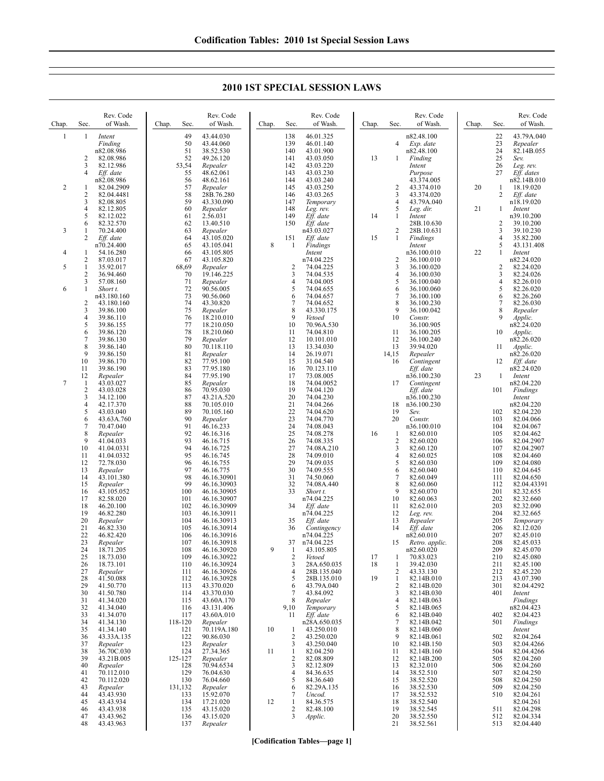**2010 1ST SPECIAL SESSION LAWS**

| Chap.          | Sec.                | Rev. Code<br>of Wash.     | Chap. | Sec.        | Rev. Code<br>of Wash.      | Chap. | Sec.                 | Rev. Code<br>of Wash.      | Chap. | Sec.                           | Rev. Code<br>of Wash.        | Chap. | Sec.       | Rev. Code<br>of Wash.    |
|----------------|---------------------|---------------------------|-------|-------------|----------------------------|-------|----------------------|----------------------------|-------|--------------------------------|------------------------------|-------|------------|--------------------------|
| -1             | 1                   | Intent<br>Finding         |       | 49<br>50    | 43.44.030<br>43.44.060     |       | 138<br>139           | 46.01.325<br>46.01.140     |       | 4                              | n82.48.100<br>Exp. date      |       | 22<br>23   | 43.79A.040<br>Repealer   |
|                |                     | n82.08.986                |       | 51          | 38.52.530                  |       | 140                  | 43.01.900                  |       |                                | n82.48.100                   |       | 24         | 82.14B.055               |
|                | 2                   | 82.08.986                 |       | 52          | 49.26.120                  |       | 141                  | 43.03.050                  | 13    | -1                             | Finding                      |       | 25         | Sev.                     |
|                | 3<br>4              | 82.12.986                 |       | 53,54<br>55 | Repealer<br>48.62.061      |       | 142<br>143           | 43.03.220<br>43.03.230     |       |                                | Intent                       |       | 26<br>27   | Leg. rev.<br>Eff. dates  |
|                |                     | Eff. date<br>n82.08.986   |       | 56          | 48.62.161                  |       | 144                  | 43.03.240                  |       |                                | Purpose<br>43.374.005        |       |            | n82.14B.010              |
| 2              | 1                   | 82.04.2909                |       | 57          | Repealer                   |       | 145                  | 43.03.250                  |       | 2                              | 43.374.010                   | 20    | 1          | 18.19.020                |
|                | $\overline{c}$      | 82.04.4481                |       | 58          | 28B.76.280                 |       | 146                  | 43.03.265                  |       | 3                              | 43.374.020                   |       | 2          | Eff. date                |
|                | 3<br>4              | 82.08.805<br>82.12.805    |       | 59<br>60    | 43.330.090<br>Repealer     |       | 147<br>148           | Temporary<br>Leg. rev.     |       | $\overline{4}$<br>5            | 43.79A.040<br>Leg. dir.      | 21    | 1          | n18.19.020<br>Intent     |
|                | 5                   | 82.12.022                 |       | 61          | 2.56.031                   |       | 149                  | Eff. date                  | 14    | $\mathbf{1}$                   | Intent                       |       |            | n39.10.200               |
|                | 6                   | 82.32.570                 |       | 62          | 13.40.510                  |       | 150                  | Eff. date                  |       |                                | 28B.10.630                   |       | 2          | 39.10.200                |
| 3              | 1<br>2              | 70.24.400<br>Eff. date    |       | 63<br>64    | Repealer<br>43.105.020     |       | 151                  | n43.03.027<br>Eff. date    | 15    | 2<br>1                         | 28B.10.631<br>Findings       |       | 3<br>4     | 39.10.230<br>35.82.200   |
|                |                     | n70.24.400                |       | 65          | 43.105.041                 | 8     | 1                    | Findings                   |       |                                | Intent                       |       | 5          | 43.131.408               |
| 4              | 1                   | 54.16.280                 |       | 66          | 43.105.805                 |       |                      | Intent                     |       |                                | n36.100.010                  | 22    | 1          | Intent                   |
| 5              | 2<br>1              | 87.03.017<br>35.92.017    |       | 67<br>68,69 | 43.105.820<br>Repealer     |       | $\overline{2}$       | n74.04.225<br>74.04.225    |       | $\overline{2}$<br>3            | 36.100.010<br>36.100.020     |       | 2          | n82.24.020<br>82.24.020  |
|                | 2                   | 36.94.460                 |       | 70          | 19.146.225                 |       | 3                    | 74.04.535                  |       | 4                              | 36.100.030                   |       | 3          | 82.24.026                |
|                | 3                   | 57.08.160                 |       | 71          | Repealer                   |       | 4                    | 74.04.005                  |       | 5                              | 36.100.040                   |       | 4          | 82.26.010                |
| 6              | 1                   | Short t.                  |       | 72          | 90.56.005                  |       | 5                    | 74.04.655                  |       | 6                              | 36.100.060                   |       | 5          | 82.26.020                |
|                | 2                   | n43.180.160<br>43.180.160 |       | 73<br>74    | 90.56.060<br>43.30.820     |       | 6<br>7               | 74.04.657<br>74.04.652     |       | $\overline{7}$<br>8            | 36.100.100<br>36.100.230     |       | 6<br>7     | 82.26.260<br>82.26.030   |
|                | 3                   | 39.86.100                 |       | 75          | Repealer                   |       | 8                    | 43.330.175                 |       | 9                              | 36.100.042                   |       | 8          | Repealer                 |
|                | 4                   | 39.86.110                 |       | 76          | 18.210.010                 |       | 9                    | Vetoed                     |       | 10                             | Constr.                      |       | 9          | Applic.                  |
|                | 5<br>6              | 39.86.155<br>39.86.120    |       | 77<br>78    | 18.210.050<br>18.210.060   |       | 10<br>11             | 70.96A.530<br>74.04.810    |       | 11                             | 36.100.905<br>36.100.205     |       | 10         | n82.24.020<br>Applic.    |
|                | 7                   | 39.86.130                 |       | 79          | Repealer                   |       | 12                   | 10.101.010                 |       | 12                             | 36.100.240                   |       |            | n82.26.020               |
|                | 8                   | 39.86.140                 |       | 80          | 70.118.110                 |       | 13                   | 13.34.030                  |       | 13                             | 39.94.020                    |       | 11         | Applic.                  |
|                | 9<br>10             | 39.86.150<br>39.86.170    |       | 81<br>82    | Repealer<br>77.95.100      |       | 14<br>15             | 26.19.071<br>31.04.540     |       | 14,15<br>16                    | Repealer                     |       | 12         | n82.26.020               |
|                | 11                  | 39.86.190                 |       | 83          | 77.95.180                  |       | 16                   | 70.123.110                 |       |                                | Contingent<br>Eff. date      |       |            | Eff. date<br>n82.24.020  |
|                | 12                  | Repealer                  |       | 84          | 77.95.190                  |       | 17                   | 73.08.005                  |       |                                | n36.100.230                  | 23    | 1          | Intent                   |
| $\overline{7}$ | 1                   | 43.03.027                 |       | 85          | Repealer                   |       | 18                   | 74.04.0052                 |       | 17                             | Contingent                   |       |            | n82.04.220               |
|                | $\overline{2}$<br>3 | 43.03.028<br>34.12.100    |       | 86<br>87    | 70.95.030<br>43.21A.520    |       | 19<br>20             | 74.04.120<br>74.04.230     |       |                                | Eff. date<br>n36.100.230     |       | 101        | Findings<br>Intent       |
|                | 4                   | 42.17.370                 |       | 88          | 70.105.010                 |       | 21                   | 74.04.266                  |       | 18                             | n36.100.230                  |       |            | n82.04.220               |
|                | 5                   | 43.03.040                 |       | 89          | 70.105.160                 |       | 22                   | 74.04.620                  |       | 19                             | Sev.                         |       | 102        | 82.04.220                |
|                | 6<br>7              | 43.63A.760<br>70.47.040   |       | 90<br>91    | Repealer<br>46.16.233      |       | 23<br>24             | 74.04.770<br>74.08.043     |       | 20                             | Constr.<br>n36.100.010       |       | 103<br>104 | 82.04.066<br>82.04.067   |
|                | 8                   | Repealer                  |       | 92          | 46.16.316                  |       | 25                   | 74.08.278                  | 16    | $\mathbf{1}$                   | 82.60.010                    |       | 105        | 82.04.462                |
|                | 9                   | 41.04.033                 |       | 93          | 46.16.715                  |       | 26                   | 74.08.335                  |       | $\overline{2}$                 | 82.60.020                    |       | 106        | 82.04.2907               |
|                | 10<br>11            | 41.04.0331<br>41.04.0332  |       | 94<br>95    | 46.16.725<br>46.16.745     |       | 27<br>28             | 74.08A.210<br>74.09.010    |       | 3<br>$\overline{4}$            | 82.60.120<br>82.60.025       |       | 107<br>108 | 82.04.2907<br>82.04.460  |
|                | 12                  | 72.78.030                 |       | 96          | 46.16.755                  |       | 29                   | 74.09.035                  |       | 5                              | 82.60.030                    |       | 109        | 82.04.080                |
|                | 13                  | Repealer                  |       | 97          | 46.16.775                  |       | 30                   | 74.09.555                  |       | 6                              | 82.60.040                    |       | 110        | 82.04.645                |
|                | 14<br>15            | 43.101.380<br>Repealer    |       | 98<br>99    | 46.16.30901<br>46.16.30903 |       | 31<br>32             | 74.50.060<br>74.08A.440    |       | 7<br>8                         | 82.60.049<br>82.60.060       |       | 111<br>112 | 82.04.650<br>82.04.43391 |
|                | 16                  | 43.105.052                |       | 100         | 46.16.30905                |       | 33                   | Short t.                   |       | 9                              | 82.60.070                    |       | 201        | 82.32.655                |
|                | 17                  | 82.58.020                 |       | 101         | 46.16.30907                |       |                      | n74.04.225                 |       | 10                             | 82.60.063                    |       | 202        | 82.32.660                |
|                | 18<br>19            | 46.20.100                 |       | 102         | 46.16.30909                |       | 34                   | Eff. date                  |       | 11<br>12                       | 82.62.010                    |       | 203<br>204 | 82.32.090                |
|                | 20                  | 46.82.280<br>Repealer     |       | 103<br>104  | 46.16.30911<br>46.16.30913 |       | 35                   | n74.04.225<br>Eff. date    |       | 13                             | Leg. rev.<br>Repealer        |       | 205        | 82.32.665<br>Temporary   |
|                | 21                  | 46.82.330                 |       | 105         | 46.16.30914                |       | 36                   | Contingency                |       | 14                             | Eff. date                    |       | 206        | 82.12.020                |
|                | 22<br>23            | 46.82.420                 |       | 106<br>107  | 46.16.30916                |       | 37                   | n74.04.225<br>n74.04.225   |       | 15                             | n82.60.010                   |       | 207<br>208 | 82.45.010                |
|                | 24                  | Repealer<br>18.71.205     |       | 108         | 46.16.30918<br>46.16.30920 | 9     | -1                   | 43.105.805                 |       |                                | Retro. applic.<br>n82.60.020 |       | 209        | 82.45.033<br>82.45.070   |
|                | 25                  | 18.73.030                 |       | 109         | 46.16.30922                |       | $\overline{c}$       | Vetoed                     | 17    | 1                              | 70.83.023                    |       | 210        | 82.45.080                |
|                | 26                  | 18.73.101                 |       | 110         | 46.16.30924                |       | 3                    | 28A.650.035                | 18    | $\mathbf{1}$                   | 39.42.030                    |       | 211        | 82.45.100                |
|                | 27<br>28            | Repealer<br>41.50.088     |       | 111<br>112  | 46.16.30926<br>46.16.30928 |       | $\overline{4}$<br>5  | 28B.135.040<br>28B.135.010 | 19    | $\overline{2}$<br>$\mathbf{1}$ | 43.33.130<br>82.14B.010      |       | 212<br>213 | 82.45.220<br>43.07.390   |
|                | 29                  | 41.50.770                 |       | 113         | 43.370.020                 |       | 6                    | 43.79A.040                 |       | $\overline{2}$                 | 82.14B.020                   |       | 301        | 82.04.4292               |
|                | 30                  | 41.50.780                 |       | 114         | 43.370.030                 |       | 7                    | 43.84.092                  |       | 3                              | 82.14B.030                   |       | 401        | Intent                   |
|                | 31<br>32            | 41.34.020<br>41.34.040    |       | 115<br>116  | 43.60A.170<br>43.131.406   |       | 8<br>9,10            | Repealer<br>Temporary      |       | $\overline{4}$<br>5            | 82.14B.063<br>82.14B.065     |       |            | Findings<br>n82.04.423   |
|                | 33                  | 41.34.070                 |       | 117         | 43.60A.010                 |       | 11                   | Eff. date                  |       | 6                              | 82.14B.040                   |       | 402        | 82.04.423                |
|                | 34                  | 41.34.130                 |       | 118-120     | Repealer                   |       |                      | n28A.650.035               |       | $\overline{7}$                 | 82.14B.042                   |       | 501        | Findings                 |
|                | 35<br>36            | 41.34.140<br>43.33A.135   |       | 121<br>122  | 70.119A.180<br>90.86.030   | 10    | -1<br>$\overline{2}$ | 43.250.010<br>43.250.020   |       | 8<br>9                         | 82.14B.060<br>82.14B.061     |       | 502        | Intent<br>82.04.264      |
|                | 37                  | Repealer                  |       | 123         | Repealer                   |       | 3                    | 43.250.040                 |       | 10                             | 82.14B.150                   |       | 503        | 82.04.4266               |
|                | 38                  | 36.70C.030                |       | 124         | 27.34.365                  | 11    | $\mathbf{1}$         | 82.04.250                  |       | 11                             | 82.14B.160                   |       | 504        | 82.04.4266               |
|                | 39<br>40            | 43.21B.005                |       | 125-127     | Repealer<br>70.94.6534     |       | $\sqrt{2}$<br>3      | 82.08.809                  |       | 12                             | 82.14B.200                   |       | 505<br>506 | 82.04.260                |
|                | 41                  | Repealer<br>70.112.010    |       | 128<br>129  | 76.04.630                  |       | $\overline{4}$       | 82.12.809<br>84.36.635     |       | 13<br>14                       | 82.32.010<br>38.52.510       |       | 507        | 82.04.260<br>82.04.250   |
|                | 42                  | 70.112.020                |       | 130         | 76.04.660                  |       | 5                    | 84.36.640                  |       | 15                             | 38.52.520                    |       | 508        | 82.04.250                |
|                | 43                  | Repealer                  |       | 131,132     | Repealer<br>15.92.070      |       | 6                    | 82.29A.135                 |       | 16                             | 38.52.530                    |       | 509        | 82.04.250                |
|                | 44<br>45            | 43.43.930<br>43.43.934    |       | 133<br>134  | 17.21.020                  | 12    | 7<br>$\mathbf{1}$    | Uncod.<br>84.36.575        |       | 17<br>18                       | 38.52.532<br>38.52.540       |       | 510        | 82.04.261<br>82.04.261   |
|                | 46                  | 43.43.938                 |       | 135         | 43.15.020                  |       | $\sqrt{2}$           | 82.48.100                  |       | 19                             | 38.52.545                    |       | 511        | 82.04.298                |
|                | 47                  | 43.43.962                 |       | 136         | 43.15.020                  |       | 3                    | Applic.                    |       | 20                             | 38.52.550                    |       | 512        | 82.04.334                |
|                | 48                  | 43.43.963                 |       | 137         | Repealer                   |       |                      |                            |       | 21                             | 38.52.561                    |       | 513        | 82.04.440                |

**[Codification Tables—page 1]**